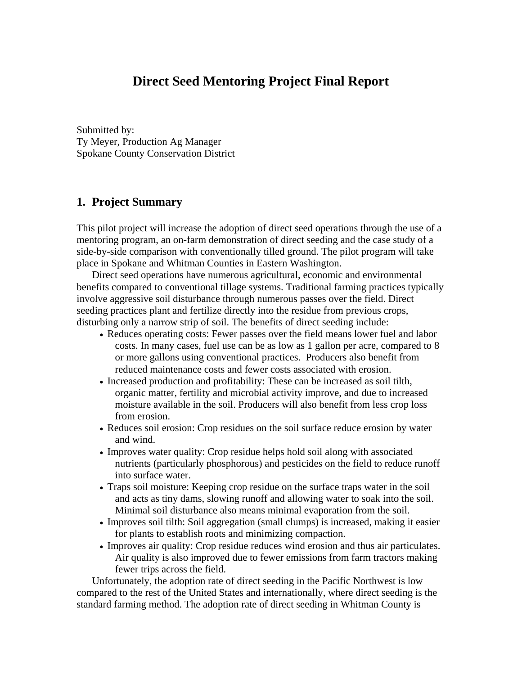## **Direct Seed Mentoring Project Final Report**

Submitted by: Ty Meyer, Production Ag Manager Spokane County Conservation District

## **1. Project Summary**

This pilot project will increase the adoption of direct seed operations through the use of a mentoring program, an on-farm demonstration of direct seeding and the case study of a side-by-side comparison with conventionally tilled ground. The pilot program will take place in Spokane and Whitman Counties in Eastern Washington.

Direct seed operations have numerous agricultural, economic and environmental benefits compared to conventional tillage systems. Traditional farming practices typically involve aggressive soil disturbance through numerous passes over the field. Direct seeding practices plant and fertilize directly into the residue from previous crops, disturbing only a narrow strip of soil. The benefits of direct seeding include:

- Reduces operating costs: Fewer passes over the field means lower fuel and labor costs. In many cases, fuel use can be as low as 1 gallon per acre, compared to 8 or more gallons using conventional practices. Producers also benefit from reduced maintenance costs and fewer costs associated with erosion.
- Increased production and profitability: These can be increased as soil tilth, organic matter, fertility and microbial activity improve, and due to increased moisture available in the soil. Producers will also benefit from less crop loss from erosion.
- Reduces soil erosion: Crop residues on the soil surface reduce erosion by water and wind.
- Improves water quality: Crop residue helps hold soil along with associated nutrients (particularly phosphorous) and pesticides on the field to reduce runoff into surface water.
- Traps soil moisture: Keeping crop residue on the surface traps water in the soil and acts as tiny dams, slowing runoff and allowing water to soak into the soil. Minimal soil disturbance also means minimal evaporation from the soil.
- Improves soil tilth: Soil aggregation (small clumps) is increased, making it easier for plants to establish roots and minimizing compaction.
- Improves air quality: Crop residue reduces wind erosion and thus air particulates. Air quality is also improved due to fewer emissions from farm tractors making fewer trips across the field.

Unfortunately, the adoption rate of direct seeding in the Pacific Northwest is low compared to the rest of the United States and internationally, where direct seeding is the standard farming method. The adoption rate of direct seeding in Whitman County is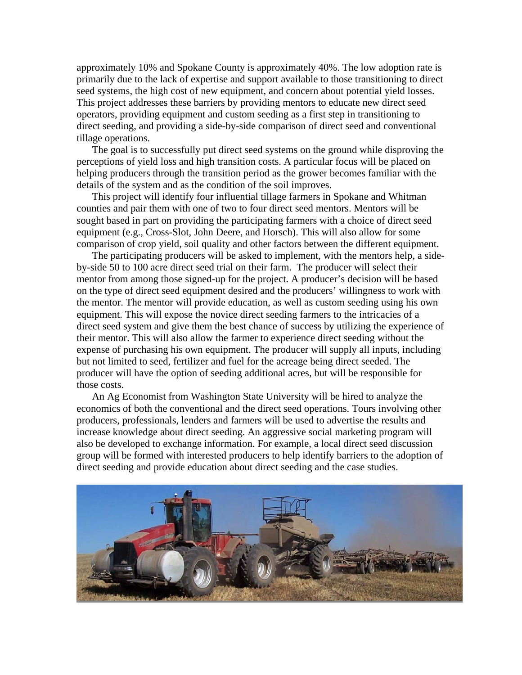approximately 10% and Spokane County is approximately 40%. The low adoption rate is primarily due to the lack of expertise and support available to those transitioning to direct seed systems, the high cost of new equipment, and concern about potential yield losses. This project addresses these barriers by providing mentors to educate new direct seed operators, providing equipment and custom seeding as a first step in transitioning to direct seeding, and providing a side-by-side comparison of direct seed and conventional tillage operations.

The goal is to successfully put direct seed systems on the ground while disproving the perceptions of yield loss and high transition costs. A particular focus will be placed on helping producers through the transition period as the grower becomes familiar with the details of the system and as the condition of the soil improves.

This project will identify four influential tillage farmers in Spokane and Whitman counties and pair them with one of two to four direct seed mentors. Mentors will be sought based in part on providing the participating farmers with a choice of direct seed equipment (e.g., Cross-Slot, John Deere, and Horsch). This will also allow for some comparison of crop yield, soil quality and other factors between the different equipment.

The participating producers will be asked to implement, with the mentors help, a sideby-side 50 to 100 acre direct seed trial on their farm. The producer will select their mentor from among those signed-up for the project. A producer's decision will be based on the type of direct seed equipment desired and the producers' willingness to work with the mentor. The mentor will provide education, as well as custom seeding using his own equipment. This will expose the novice direct seeding farmers to the intricacies of a direct seed system and give them the best chance of success by utilizing the experience of their mentor. This will also allow the farmer to experience direct seeding without the expense of purchasing his own equipment. The producer will supply all inputs, including but not limited to seed, fertilizer and fuel for the acreage being direct seeded. The producer will have the option of seeding additional acres, but will be responsible for those costs.

An Ag Economist from Washington State University will be hired to analyze the economics of both the conventional and the direct seed operations. Tours involving other producers, professionals, lenders and farmers will be used to advertise the results and increase knowledge about direct seeding. An aggressive social marketing program will also be developed to exchange information. For example, a local direct seed discussion group will be formed with interested producers to help identify barriers to the adoption of direct seeding and provide education about direct seeding and the case studies.

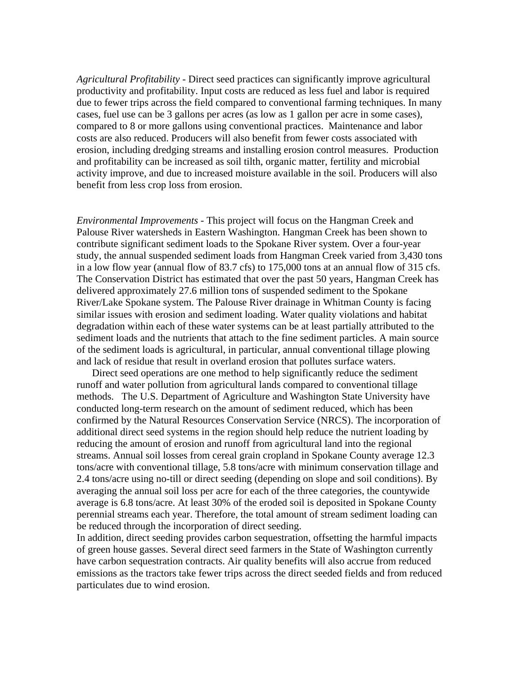*Agricultural Profitability -* Direct seed practices can significantly improve agricultural productivity and profitability. Input costs are reduced as less fuel and labor is required due to fewer trips across the field compared to conventional farming techniques. In many cases, fuel use can be 3 gallons per acres (as low as 1 gallon per acre in some cases), compared to 8 or more gallons using conventional practices. Maintenance and labor costs are also reduced. Producers will also benefit from fewer costs associated with erosion, including dredging streams and installing erosion control measures. Production and profitability can be increased as soil tilth, organic matter, fertility and microbial activity improve, and due to increased moisture available in the soil. Producers will also benefit from less crop loss from erosion.

*Environmental Improvements -* This project will focus on the Hangman Creek and Palouse River watersheds in Eastern Washington. Hangman Creek has been shown to contribute significant sediment loads to the Spokane River system. Over a four-year study, the annual suspended sediment loads from Hangman Creek varied from 3,430 tons in a low flow year (annual flow of 83.7 cfs) to 175,000 tons at an annual flow of 315 cfs. The Conservation District has estimated that over the past 50 years, Hangman Creek has delivered approximately 27.6 million tons of suspended sediment to the Spokane River/Lake Spokane system. The Palouse River drainage in Whitman County is facing similar issues with erosion and sediment loading. Water quality violations and habitat degradation within each of these water systems can be at least partially attributed to the sediment loads and the nutrients that attach to the fine sediment particles. A main source of the sediment loads is agricultural, in particular, annual conventional tillage plowing and lack of residue that result in overland erosion that pollutes surface waters.

Direct seed operations are one method to help significantly reduce the sediment runoff and water pollution from agricultural lands compared to conventional tillage methods. The U.S. Department of Agriculture and Washington State University have conducted long-term research on the amount of sediment reduced, which has been confirmed by the Natural Resources Conservation Service (NRCS). The incorporation of additional direct seed systems in the region should help reduce the nutrient loading by reducing the amount of erosion and runoff from agricultural land into the regional streams. Annual soil losses from cereal grain cropland in Spokane County average 12.3 tons/acre with conventional tillage, 5.8 tons/acre with minimum conservation tillage and 2.4 tons/acre using no-till or direct seeding (depending on slope and soil conditions). By averaging the annual soil loss per acre for each of the three categories, the countywide average is 6.8 tons/acre. At least 30% of the eroded soil is deposited in Spokane County perennial streams each year. Therefore, the total amount of stream sediment loading can be reduced through the incorporation of direct seeding.

In addition, direct seeding provides carbon sequestration, offsetting the harmful impacts of green house gasses. Several direct seed farmers in the State of Washington currently have carbon sequestration contracts. Air quality benefits will also accrue from reduced emissions as the tractors take fewer trips across the direct seeded fields and from reduced particulates due to wind erosion.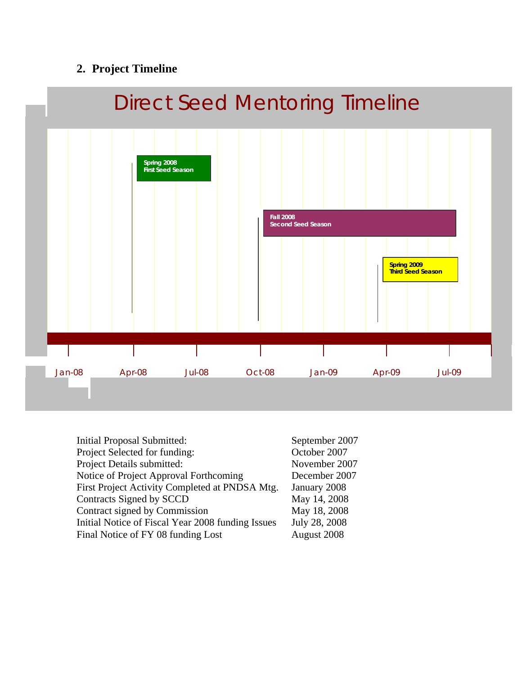# **2. Project Timeline**



| <b>Initial Proposal Submitted:</b>                | September 2007 |
|---------------------------------------------------|----------------|
| Project Selected for funding:                     | October 2007   |
| Project Details submitted:                        | November 2007  |
| Notice of Project Approval Forthcoming            | December 2007  |
| First Project Activity Completed at PNDSA Mtg.    | January 2008   |
| Contracts Signed by SCCD                          | May 14, 2008   |
| Contract signed by Commission                     | May 18, 2008   |
| Initial Notice of Fiscal Year 2008 funding Issues | July 28, 2008  |
| Final Notice of FY 08 funding Lost                | August 2008    |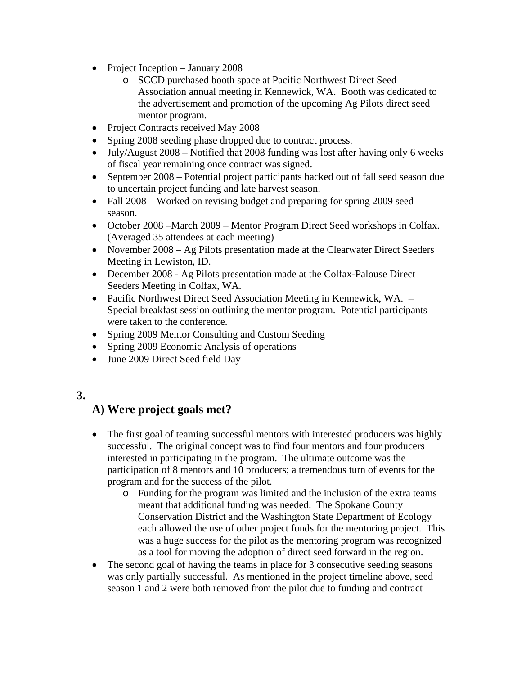- Project Inception January 2008
	- o SCCD purchased booth space at Pacific Northwest Direct Seed Association annual meeting in Kennewick, WA. Booth was dedicated to the advertisement and promotion of the upcoming Ag Pilots direct seed mentor program.
- Project Contracts received May 2008
- Spring 2008 seeding phase dropped due to contract process.
- July/August 2008 Notified that 2008 funding was lost after having only 6 weeks of fiscal year remaining once contract was signed.
- September 2008 Potential project participants backed out of fall seed season due to uncertain project funding and late harvest season.
- Fall 2008 Worked on revising budget and preparing for spring 2009 seed season.
- October 2008 March 2009 Mentor Program Direct Seed workshops in Colfax. (Averaged 35 attendees at each meeting)
- November 2008 Ag Pilots presentation made at the Clearwater Direct Seeders Meeting in Lewiston, ID.
- December 2008 Ag Pilots presentation made at the Colfax-Palouse Direct Seeders Meeting in Colfax, WA.
- Pacific Northwest Direct Seed Association Meeting in Kennewick, WA. Special breakfast session outlining the mentor program. Potential participants were taken to the conference.
- Spring 2009 Mentor Consulting and Custom Seeding
- Spring 2009 Economic Analysis of operations
- June 2009 Direct Seed field Day

## **3.**

## **A) Were project goals met?**

- The first goal of teaming successful mentors with interested producers was highly successful. The original concept was to find four mentors and four producers interested in participating in the program. The ultimate outcome was the participation of 8 mentors and 10 producers; a tremendous turn of events for the program and for the success of the pilot.
	- o Funding for the program was limited and the inclusion of the extra teams meant that additional funding was needed. The Spokane County Conservation District and the Washington State Department of Ecology each allowed the use of other project funds for the mentoring project. This was a huge success for the pilot as the mentoring program was recognized as a tool for moving the adoption of direct seed forward in the region.
- The second goal of having the teams in place for 3 consecutive seeding seasons was only partially successful. As mentioned in the project timeline above, seed season 1 and 2 were both removed from the pilot due to funding and contract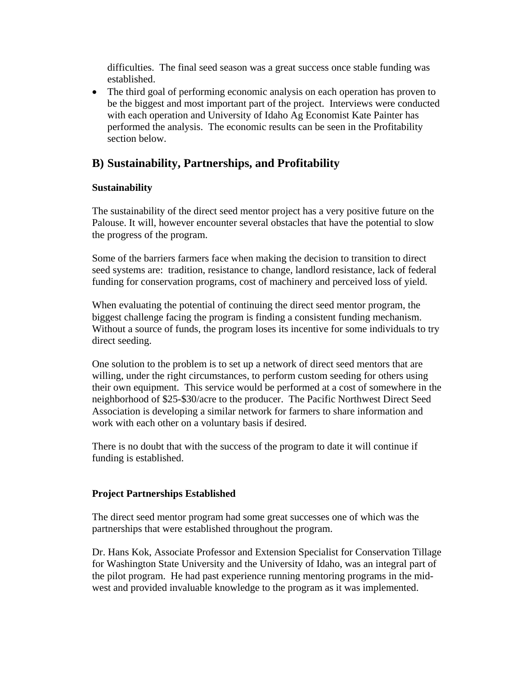difficulties. The final seed season was a great success once stable funding was established.

• The third goal of performing economic analysis on each operation has proven to be the biggest and most important part of the project. Interviews were conducted with each operation and University of Idaho Ag Economist Kate Painter has performed the analysis. The economic results can be seen in the Profitability section below.

## **B) Sustainability, Partnerships, and Profitability**

## **Sustainability**

The sustainability of the direct seed mentor project has a very positive future on the Palouse. It will, however encounter several obstacles that have the potential to slow the progress of the program.

Some of the barriers farmers face when making the decision to transition to direct seed systems are: tradition, resistance to change, landlord resistance, lack of federal funding for conservation programs, cost of machinery and perceived loss of yield.

When evaluating the potential of continuing the direct seed mentor program, the biggest challenge facing the program is finding a consistent funding mechanism. Without a source of funds, the program loses its incentive for some individuals to try direct seeding.

One solution to the problem is to set up a network of direct seed mentors that are willing, under the right circumstances, to perform custom seeding for others using their own equipment. This service would be performed at a cost of somewhere in the neighborhood of \$25-\$30/acre to the producer. The Pacific Northwest Direct Seed Association is developing a similar network for farmers to share information and work with each other on a voluntary basis if desired.

There is no doubt that with the success of the program to date it will continue if funding is established.

## **Project Partnerships Established**

The direct seed mentor program had some great successes one of which was the partnerships that were established throughout the program.

Dr. Hans Kok, Associate Professor and Extension Specialist for Conservation Tillage for Washington State University and the University of Idaho, was an integral part of the pilot program. He had past experience running mentoring programs in the midwest and provided invaluable knowledge to the program as it was implemented.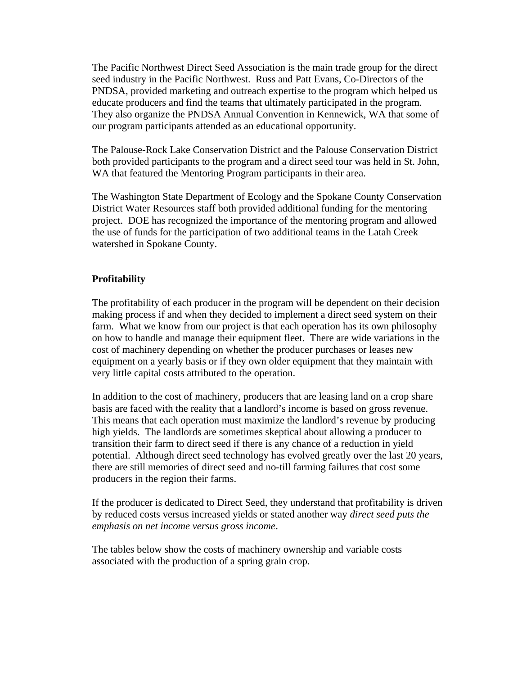The Pacific Northwest Direct Seed Association is the main trade group for the direct seed industry in the Pacific Northwest. Russ and Patt Evans, Co-Directors of the PNDSA, provided marketing and outreach expertise to the program which helped us educate producers and find the teams that ultimately participated in the program. They also organize the PNDSA Annual Convention in Kennewick, WA that some of our program participants attended as an educational opportunity.

The Palouse-Rock Lake Conservation District and the Palouse Conservation District both provided participants to the program and a direct seed tour was held in St. John, WA that featured the Mentoring Program participants in their area.

The Washington State Department of Ecology and the Spokane County Conservation District Water Resources staff both provided additional funding for the mentoring project. DOE has recognized the importance of the mentoring program and allowed the use of funds for the participation of two additional teams in the Latah Creek watershed in Spokane County.

### **Profitability**

The profitability of each producer in the program will be dependent on their decision making process if and when they decided to implement a direct seed system on their farm. What we know from our project is that each operation has its own philosophy on how to handle and manage their equipment fleet. There are wide variations in the cost of machinery depending on whether the producer purchases or leases new equipment on a yearly basis or if they own older equipment that they maintain with very little capital costs attributed to the operation.

In addition to the cost of machinery, producers that are leasing land on a crop share basis are faced with the reality that a landlord's income is based on gross revenue. This means that each operation must maximize the landlord's revenue by producing high yields. The landlords are sometimes skeptical about allowing a producer to transition their farm to direct seed if there is any chance of a reduction in yield potential. Although direct seed technology has evolved greatly over the last 20 years, there are still memories of direct seed and no-till farming failures that cost some producers in the region their farms.

If the producer is dedicated to Direct Seed, they understand that profitability is driven by reduced costs versus increased yields or stated another way *direct seed puts the emphasis on net income versus gross income*.

The tables below show the costs of machinery ownership and variable costs associated with the production of a spring grain crop.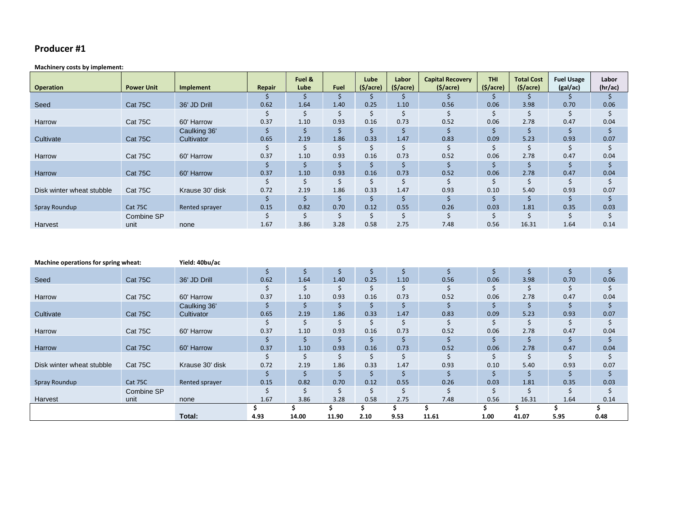#### **Producer #1**

#### **Machinery costs by implement:**

| <b>Operation</b>          | <b>Power Unit</b> | Implement       | Repair | Fuel &<br>Lube | <b>Fuel</b> | Lube<br>(5/acre) | Labor<br>$(\frac{1}{2})$ | <b>Capital Recovery</b><br>$(\frac{1}{2})$ | <b>THI</b><br>$(5/ \text{acre})$ | <b>Total Cost</b><br>(5/acre) | <b>Fuel Usage</b><br>(gal/ac) | Labor<br>(hr/ac) |
|---------------------------|-------------------|-----------------|--------|----------------|-------------|------------------|--------------------------|--------------------------------------------|----------------------------------|-------------------------------|-------------------------------|------------------|
|                           |                   |                 |        |                | Ŝ           |                  |                          |                                            |                                  |                               |                               |                  |
| Seed                      | Cat 75C           | 36' JD Drill    | 0.62   | 1.64           | 1.40        | 0.25             | 1.10                     | 0.56                                       | 0.06                             | 3.98                          | 0.70                          | 0.06             |
|                           |                   |                 |        |                | Ŝ           | Ś                |                          |                                            |                                  |                               |                               |                  |
| Harrow                    | Cat 75C           | 60' Harrow      | 0.37   | 1.10           | 0.93        | 0.16             | 0.73                     | 0.52                                       | 0.06                             | 2.78                          | 0.47                          | 0.04             |
|                           |                   | Caulking 36'    |        |                | Ŝ           |                  | Ŝ                        |                                            |                                  |                               |                               |                  |
| Cultivate                 | Cat 75C           | Cultivator      | 0.65   | 2.19           | 1.86        | 0.33             | 1.47                     | 0.83                                       | 0.09                             | 5.23                          | 0.93                          | 0.07             |
|                           |                   |                 |        |                | Ś           | Ś                | Ś                        |                                            |                                  |                               |                               |                  |
| Harrow                    | Cat 75C           | 60' Harrow      | 0.37   | 1.10           | 0.93        | 0.16             | 0.73                     | 0.52                                       | 0.06                             | 2.78                          | 0.47                          | 0.04             |
|                           |                   |                 |        |                | S           | S                | S                        |                                            |                                  |                               |                               |                  |
| Harrow                    | Cat 75C           | 60' Harrow      | 0.37   | 1.10           | 0.93        | 0.16             | 0.73                     | 0.52                                       | 0.06                             | 2.78                          | 0.47                          | 0.04             |
|                           |                   |                 |        | Ś              | Ś           | $\zeta$          | Ś                        |                                            |                                  |                               |                               |                  |
| Disk winter wheat stubble | Cat 75C           | Krause 30' disk | 0.72   | 2.19           | 1.86        | 0.33             | 1.47                     | 0.93                                       | 0.10                             | 5.40                          | 0.93                          | 0.07             |
|                           |                   |                 |        |                | Ś           | Ś                |                          |                                            |                                  |                               |                               |                  |
| Spray Roundup             | Cat 75C           | Rented sprayer  | 0.15   | 0.82           | 0.70        | 0.12             | 0.55                     | 0.26                                       | 0.03                             | 1.81                          | 0.35                          | 0.03             |
|                           | Combine SP        |                 |        | Ś              | Ś           | Ś                | Ś                        |                                            |                                  |                               |                               |                  |
| Harvest                   | unit              | none            | 1.67   | 3.86           | 3.28        | 0.58             | 2.75                     | 7.48                                       | 0.56                             | 16.31                         | 1.64                          | 0.14             |

| Machine operations for spring wheat: |            | Yield: 40bu/ac  |      |       |       |      |      |       |      |       |      |      |
|--------------------------------------|------------|-----------------|------|-------|-------|------|------|-------|------|-------|------|------|
|                                      |            |                 | \$   | Ş     | \$    | S    | \$   |       |      | S     | S    |      |
| Seed                                 | Cat 75C    | 36' JD Drill    | 0.62 | 1.64  | 1.40  | 0.25 | 1.10 | 0.56  | 0.06 | 3.98  | 0.70 | 0.06 |
|                                      |            |                 |      |       |       | \$   | \$   |       |      |       |      |      |
| Harrow                               | Cat 75C    | 60' Harrow      | 0.37 | 1.10  | 0.93  | 0.16 | 0.73 | 0.52  | 0.06 | 2.78  | 0.47 | 0.04 |
|                                      |            | Caulking 36'    |      | \$    |       |      | \$   |       |      |       |      |      |
| Cultivate                            | Cat 75C    | Cultivator      | 0.65 | 2.19  | 1.86  | 0.33 | 1.47 | 0.83  | 0.09 | 5.23  | 0.93 | 0.07 |
|                                      |            |                 |      |       |       | Ŝ    | Ŝ    |       |      |       |      |      |
| <b>Harrow</b>                        | Cat 75C    | 60' Harrow      | 0.37 | 1.10  | 0.93  | 0.16 | 0.73 | 0.52  | 0.06 | 2.78  | 0.47 | 0.04 |
|                                      |            |                 | Ś    |       | Ś     | Ś    | Ś    |       |      |       |      |      |
| <b>Harrow</b>                        | Cat 75C    | 60' Harrow      | 0.37 | 1.10  | 0.93  | 0.16 | 0.73 | 0.52  | 0.06 | 2.78  | 0.47 | 0.04 |
|                                      |            |                 |      | Ś     | Ś     | Ŝ    | \$   |       |      |       |      |      |
| Disk winter wheat stubble            | Cat 75C    | Krause 30' disk | 0.72 | 2.19  | 1.86  | 0.33 | 1.47 | 0.93  | 0.10 | 5.40  | 0.93 | 0.07 |
|                                      |            |                 |      |       | Ś     | Ś    | Ŝ    |       |      |       |      |      |
| Spray Roundup                        | Cat 75C    | Rented sprayer  | 0.15 | 0.82  | 0.70  | 0.12 | 0.55 | 0.26  | 0.03 | 1.81  | 0.35 | 0.03 |
|                                      | Combine SP |                 |      |       | \$    | \$   | Ś    |       |      |       |      |      |
| Harvest                              | unit       | none            | 1.67 | 3.86  | 3.28  | 0.58 | 2.75 | 7.48  | 0.56 | 16.31 | 1.64 | 0.14 |
|                                      |            |                 |      |       |       |      |      |       |      |       |      |      |
|                                      |            | Total:          | 4.93 | 14.00 | 11.90 | 2.10 | 9.53 | 11.61 | 1.00 | 41.07 | 5.95 | 0.48 |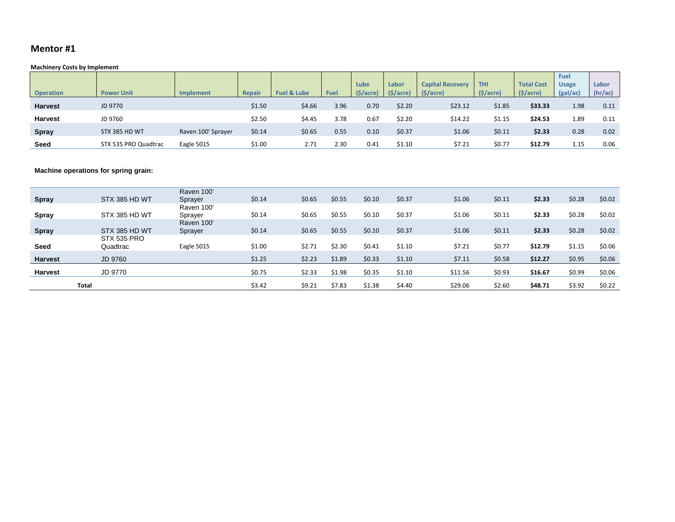#### **Mentor #1**

#### **Machinery Costs by Implement**

|                  |                      |                    |        |                        |      |                      |          |                         |            |                       | Fuel         |         |
|------------------|----------------------|--------------------|--------|------------------------|------|----------------------|----------|-------------------------|------------|-----------------------|--------------|---------|
|                  |                      |                    |        |                        |      | Lube                 | Labor    | <b>Capital Recovery</b> | <b>THI</b> | <b>Total Cost</b>     | <b>Usage</b> | Labor   |
| <b>Operation</b> | <b>Power Unit</b>    | Implement          | Repair | <b>Fuel &amp; Lube</b> | Fuel | $(\frac{1}{2})accre$ | (S/acre) | $(\frac{1}{2})accre)$   | (S/acre)   | $(\frac{1}{2})accre)$ | (gal/ac)     | (hr/ac) |
| <b>Harvest</b>   | JD 9770              |                    | \$1.50 | \$4.66                 | 3.96 | 0.70                 | \$2.20   | \$23.12                 | \$1.85     | \$33.33               | 1.98         | 0.11    |
| <b>Harvest</b>   | JD 9760              |                    | \$2.50 | \$4.45                 | 3.78 | 0.67                 | \$2.20   | \$14.22                 | \$1.15     | \$24.53               | 1.89         | 0.11    |
| <b>Spray</b>     | STX 385 HD WT        | Raven 100' Sprayer | \$0.14 | \$0.65                 | 0.55 | 0.10                 | \$0.37   | \$1.06                  | \$0.11     | \$2.33                | 0.28         | 0.02    |
| Seed             | STX 535 PRO Quadtrac | Eagle 5015         | \$1.00 | 2.71                   | 2.30 | 0.41                 | \$1.10   | \$7.21                  | \$0.77     | \$12.79               | 1.15         | 0.06    |

#### **Machine operations for spring grain:**

|                |               | Raven 100' |        |        |        |        |        |         |        |         |        |          |
|----------------|---------------|------------|--------|--------|--------|--------|--------|---------|--------|---------|--------|----------|
| <b>Spray</b>   | STX 385 HD WT | Sprayer    | \$0.14 | \$0.65 | \$0.55 | \$0.10 | \$0.37 | \$1.06  | \$0.11 | \$2.33  | \$0.28 | \$0.02   |
|                |               | Raven 100' |        |        |        |        |        |         |        |         |        |          |
| Spray          | STX 385 HD WT | Sprayer    | \$0.14 | \$0.65 | \$0.55 | \$0.10 | \$0.37 | \$1.06  | \$0.11 | \$2.33  | \$0.28 | \$0.02   |
|                |               | Raven 100' |        |        |        |        |        |         |        |         |        |          |
| <b>Spray</b>   | STX 385 HD WT | Sprayer    | \$0.14 | \$0.65 | \$0.55 | \$0.10 | \$0.37 | \$1.06  | \$0.11 | \$2.33  | \$0.28 | \$0.02\$ |
|                | STX 535 PRO   |            |        |        |        |        |        |         |        |         |        |          |
| <b>Seed</b>    | Quadtrac      | Eagle 5015 | \$1.00 | \$2.71 | \$2.30 | \$0.41 | \$1.10 | \$7.21  | \$0.77 | \$12.79 | \$1.15 | \$0.06   |
|                |               |            |        |        |        |        |        |         |        |         |        |          |
| <b>Harvest</b> | JD 9760       |            | \$1.25 | \$2.23 | \$1.89 | \$0.33 | \$1.10 | \$7.11  | \$0.58 | \$12.27 | \$0.95 | \$0.06   |
| <b>Harvest</b> | JD 9770       |            | \$0.75 | \$2.33 | \$1.98 | \$0.35 | \$1.10 | \$11.56 | \$0.93 | \$16.67 | \$0.99 | \$0.06   |
|                | <b>Total</b>  |            | \$3.42 | \$9.21 | \$7.83 | \$1.38 | \$4.40 | \$29.06 | \$2.60 | \$48.71 | \$3.92 | \$0.22   |
|                |               |            |        |        |        |        |        |         |        |         |        |          |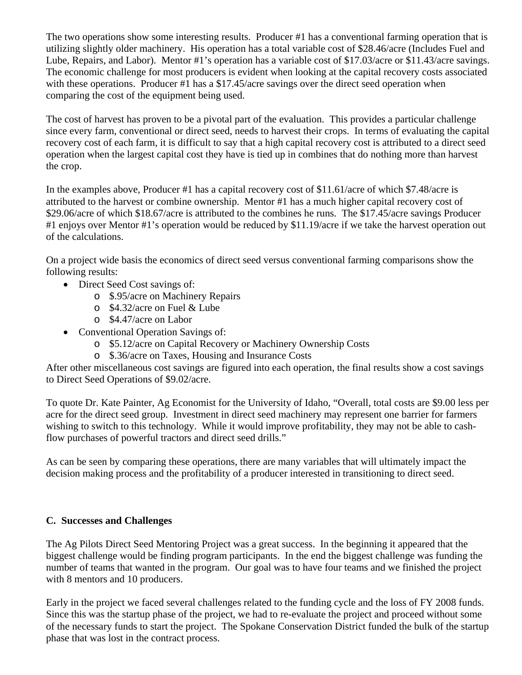The two operations show some interesting results. Producer #1 has a conventional farming operation that is utilizing slightly older machinery. His operation has a total variable cost of \$28.46/acre (Includes Fuel and Lube, Repairs, and Labor). Mentor #1's operation has a variable cost of \$17.03/acre or \$11.43/acre savings. The economic challenge for most producers is evident when looking at the capital recovery costs associated with these operations. Producer #1 has a \$17.45/acre savings over the direct seed operation when comparing the cost of the equipment being used.

The cost of harvest has proven to be a pivotal part of the evaluation. This provides a particular challenge since every farm, conventional or direct seed, needs to harvest their crops. In terms of evaluating the capital recovery cost of each farm, it is difficult to say that a high capital recovery cost is attributed to a direct seed operation when the largest capital cost they have is tied up in combines that do nothing more than harvest the crop.

In the examples above, Producer #1 has a capital recovery cost of \$11.61/acre of which \$7.48/acre is attributed to the harvest or combine ownership. Mentor #1 has a much higher capital recovery cost of \$29.06/acre of which \$18.67/acre is attributed to the combines he runs. The \$17.45/acre savings Producer #1 enjoys over Mentor #1's operation would be reduced by \$11.19/acre if we take the harvest operation out of the calculations.

On a project wide basis the economics of direct seed versus conventional farming comparisons show the following results:

- Direct Seed Cost savings of:
	- o \$.95/acre on Machinery Repairs
	- o \$4.32/acre on Fuel & Lube
	- o \$4.47/acre on Labor
- Conventional Operation Savings of:
	- o \$5.12/acre on Capital Recovery or Machinery Ownership Costs
	- o \$.36/acre on Taxes, Housing and Insurance Costs

After other miscellaneous cost savings are figured into each operation, the final results show a cost savings to Direct Seed Operations of \$9.02/acre.

To quote Dr. Kate Painter, Ag Economist for the University of Idaho, "Overall, total costs are \$9.00 less per acre for the direct seed group. Investment in direct seed machinery may represent one barrier for farmers wishing to switch to this technology. While it would improve profitability, they may not be able to cashflow purchases of powerful tractors and direct seed drills."

As can be seen by comparing these operations, there are many variables that will ultimately impact the decision making process and the profitability of a producer interested in transitioning to direct seed.

## **C. Successes and Challenges**

The Ag Pilots Direct Seed Mentoring Project was a great success. In the beginning it appeared that the biggest challenge would be finding program participants. In the end the biggest challenge was funding the number of teams that wanted in the program. Our goal was to have four teams and we finished the project with 8 mentors and 10 producers.

Early in the project we faced several challenges related to the funding cycle and the loss of FY 2008 funds. Since this was the startup phase of the project, we had to re-evaluate the project and proceed without some of the necessary funds to start the project. The Spokane Conservation District funded the bulk of the startup phase that was lost in the contract process.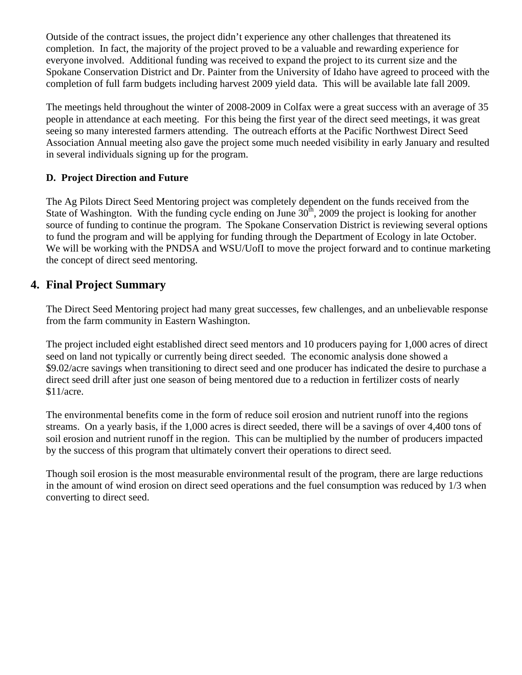Outside of the contract issues, the project didn't experience any other challenges that threatened its completion. In fact, the majority of the project proved to be a valuable and rewarding experience for everyone involved. Additional funding was received to expand the project to its current size and the Spokane Conservation District and Dr. Painter from the University of Idaho have agreed to proceed with the completion of full farm budgets including harvest 2009 yield data. This will be available late fall 2009.

The meetings held throughout the winter of 2008-2009 in Colfax were a great success with an average of 35 people in attendance at each meeting. For this being the first year of the direct seed meetings, it was great seeing so many interested farmers attending. The outreach efforts at the Pacific Northwest Direct Seed Association Annual meeting also gave the project some much needed visibility in early January and resulted in several individuals signing up for the program.

## **D. Project Direction and Future**

The Ag Pilots Direct Seed Mentoring project was completely dependent on the funds received from the State of Washington. With the funding cycle ending on June  $30<sup>th</sup>$ , 2009 the project is looking for another source of funding to continue the program. The Spokane Conservation District is reviewing several options to fund the program and will be applying for funding through the Department of Ecology in late October. We will be working with the PNDSA and WSU/UofI to move the project forward and to continue marketing the concept of direct seed mentoring.

## **4. Final Project Summary**

The Direct Seed Mentoring project had many great successes, few challenges, and an unbelievable response from the farm community in Eastern Washington.

The project included eight established direct seed mentors and 10 producers paying for 1,000 acres of direct seed on land not typically or currently being direct seeded. The economic analysis done showed a \$9.02/acre savings when transitioning to direct seed and one producer has indicated the desire to purchase a direct seed drill after just one season of being mentored due to a reduction in fertilizer costs of nearly \$11/acre.

The environmental benefits come in the form of reduce soil erosion and nutrient runoff into the regions streams. On a yearly basis, if the 1,000 acres is direct seeded, there will be a savings of over 4,400 tons of soil erosion and nutrient runoff in the region. This can be multiplied by the number of producers impacted by the success of this program that ultimately convert their operations to direct seed.

Though soil erosion is the most measurable environmental result of the program, there are large reductions in the amount of wind erosion on direct seed operations and the fuel consumption was reduced by 1/3 when converting to direct seed.